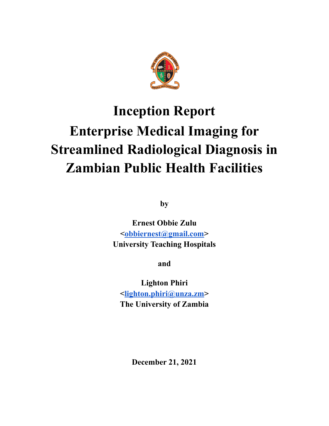

**by**

**Ernest Obbie Zulu [<obbiernest@gmail.com>](mailto:obbiernest@gmail.com) University Teaching Hospitals**

**and**

**Lighton Phiri <[lighton.phiri@unza.zm](mailto:lighton.phiri@unza.zm)> The University of Zambia**

**December 21, 2021**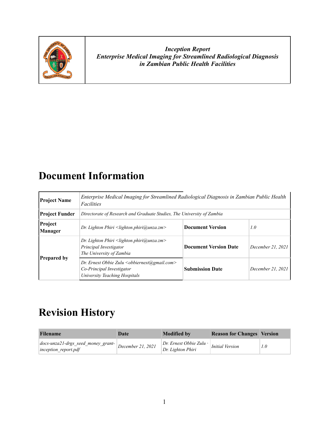

### **Document Information**

| <b>Project Name</b>       | Enterprise Medical Imaging for Streamlined Radiological Diagnosis in Zambian Public Health<br>Facilities                  |                              |                   |  |  |
|---------------------------|---------------------------------------------------------------------------------------------------------------------------|------------------------------|-------------------|--|--|
| <b>Project Funder</b>     | Directorate of Research and Graduate Studies, The University of Zambia                                                    |                              |                   |  |  |
| Project<br><b>Manager</b> | <b>Document Version</b><br>1.0<br>Dr. Lighton Phiri $\leq$ lighton.phiri@unza.zm>                                         |                              |                   |  |  |
|                           | Dr. Lighton Phiri <lighton.phiri@unza.zm><br/>Principal Investigator<br/>The University of Zambia</lighton.phiri@unza.zm> | <b>Document Version Date</b> | December 21, 2021 |  |  |
| <b>Prepared by</b>        | Dr. Ernest Obbie Zulu < obbiernest@gmail.com><br>Co-Principal Investigator<br>University Teaching Hospitals               | <b>Submission Date</b>       | December 21, 2021 |  |  |

## **Revision History**

| <b>Filename</b>                                                   | Date              | <b>Modified by</b>                                    | <b>Reason for Changes Version</b> |     |
|-------------------------------------------------------------------|-------------------|-------------------------------------------------------|-----------------------------------|-----|
| $ $ docs-unza21-drgs_seed_money_grant-<br>$ inception$ report.pdf | December 21, 2021 | $ Dr.$ Ernest Obbie Zulu $\cdot$<br>Dr. Lighton Phiri | <b>Initial Version</b>            | 1.0 |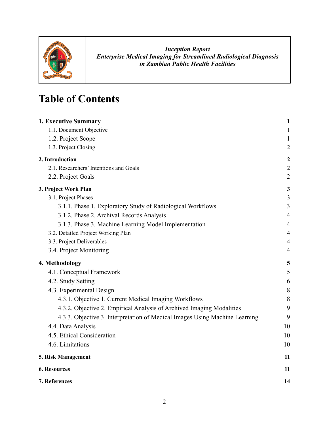

## **Table of Contents**

| 1. Executive Summary                                                        | $\mathbf{1}$     |
|-----------------------------------------------------------------------------|------------------|
| 1.1. Document Objective                                                     | $\mathbf{1}$     |
| 1.2. Project Scope                                                          | $\mathbf{1}$     |
| 1.3. Project Closing                                                        | $\overline{2}$   |
| 2. Introduction                                                             | $\boldsymbol{2}$ |
| 2.1. Researchers' Intentions and Goals                                      | $\overline{2}$   |
| 2.2. Project Goals                                                          | $\overline{2}$   |
| 3. Project Work Plan                                                        | $\mathbf{3}$     |
| 3.1. Project Phases                                                         | 3                |
| 3.1.1. Phase 1. Exploratory Study of Radiological Workflows                 | 3                |
| 3.1.2. Phase 2. Archival Records Analysis                                   | $\overline{4}$   |
| 3.1.3. Phase 3. Machine Learning Model Implementation                       | $\overline{4}$   |
| 3.2. Detailed Project Working Plan                                          | $\overline{4}$   |
| 3.3. Project Deliverables                                                   | $\overline{4}$   |
| 3.4. Project Monitoring                                                     | $\overline{4}$   |
| 4. Methodology                                                              | 5                |
| 4.1. Conceptual Framework                                                   | 5                |
| 4.2. Study Setting                                                          | 6                |
| 4.3. Experimental Design                                                    | $8\,$            |
| 4.3.1. Objective 1. Current Medical Imaging Workflows                       | 8                |
| 4.3.2. Objective 2. Empirical Analysis of Archived Imaging Modalities       | 9                |
| 4.3.3. Objective 3. Interpretation of Medical Images Using Machine Learning | 9                |
| 4.4. Data Analysis                                                          | 10               |
| 4.5. Ethical Consideration                                                  | 10               |
| 4.6. Limitations                                                            | 10               |
| 5. Risk Management                                                          | 11               |
| <b>6. Resources</b>                                                         | 11               |
| 7. References                                                               | 14               |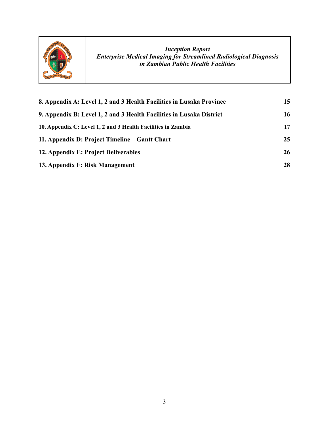

| 8. Appendix A: Level 1, 2 and 3 Health Facilities in Lusaka Province | 15 |
|----------------------------------------------------------------------|----|
| 9. Appendix B: Level 1, 2 and 3 Health Facilities in Lusaka District | 16 |
| 10. Appendix C: Level 1, 2 and 3 Health Facilities in Zambia         | 17 |
| 11. Appendix D: Project Timeline—Gantt Chart                         | 25 |
| 12. Appendix E: Project Deliverables                                 | 26 |
| 13. Appendix F: Risk Management                                      | 28 |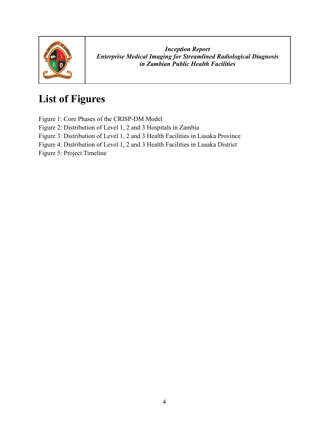

## **List of Figures**

Figure 1: Core Phases of the CRISP-DM Model

Figure 2: Distribution of Level 1, 2 and 3 Hospitals in Zambia

Figure 3: Distribution of Level 1, 2 and 3 Health Facilities in Lusaka Province

Figure 4: Distribution of Level 1, 2 and 3 Health Facilities in Lusaka District

Figure 5: Project Timeline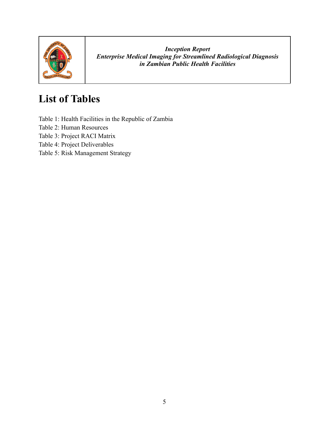

## **List of Tables**

Table 1: Health Facilities in the Republic of Zambia

Table 2: Human Resources

Table 3: Project RACI Matrix

Table 4: Project Deliverables

Table 5: Risk Management Strategy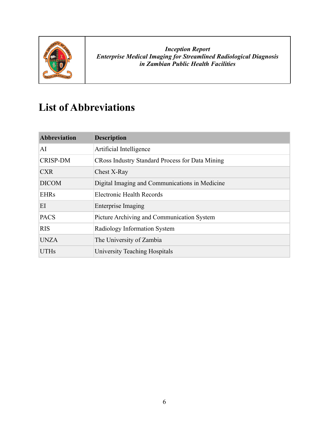

## **List of Abbreviations**

| <b>Abbreviation</b> | <b>Description</b>                                     |
|---------------------|--------------------------------------------------------|
| AI                  | Artificial Intelligence                                |
| <b>CRISP-DM</b>     | <b>CRoss Industry Standard Process for Data Mining</b> |
| <b>CXR</b>          | Chest X-Ray                                            |
| <b>DICOM</b>        | Digital Imaging and Communications in Medicine         |
| <b>EHRs</b>         | Electronic Health Records                              |
| EI                  | <b>Enterprise Imaging</b>                              |
| <b>PACS</b>         | Picture Archiving and Communication System             |
| <b>RIS</b>          | Radiology Information System                           |
| <b>UNZA</b>         | The University of Zambia                               |
| <b>UTHs</b>         | University Teaching Hospitals                          |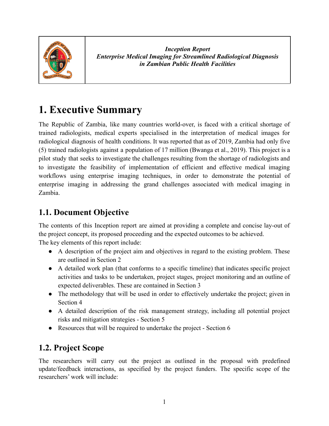

### <span id="page-7-0"></span>**1. Executive Summary**

The Republic of Zambia, like many countries world-over, is faced with a critical shortage of trained radiologists, medical experts specialised in the interpretation of medical images for radiological diagnosis of health conditions. It was reported that as of 2019, Zambia had only five (5) trained radiologists against a population of 17 million [\(Bwanga](https://paperpile.com/c/DdzIHH/r7Uk) et al., 2019). This project is a pilot study that seeks to investigate the challenges resulting from the shortage of radiologists and to investigate the feasibility of implementation of efficient and effective medical imaging workflows using enterprise imaging techniques, in order to demonstrate the potential of enterprise imaging in addressing the grand challenges associated with medical imaging in Zambia.

#### <span id="page-7-1"></span>**1.1. Document Objective**

The contents of this Inception report are aimed at providing a complete and concise lay-out of the project concept, its proposed proceeding and the expected outcomes to be achieved. The key elements of this report include:

- A description of the project aim and objectives in regard to the existing problem. These are outlined in Section 2
- A detailed work plan (that conforms to a specific timeline) that indicates specific project activities and tasks to be undertaken, project stages, project monitoring and an outline of expected deliverables. These are contained in Section 3
- The methodology that will be used in order to effectively undertake the project; given in Section 4
- A detailed description of the risk management strategy, including all potential project risks and mitigation strategies - Section 5
- Resources that will be required to undertake the project Section 6

### <span id="page-7-2"></span>**1.2. Project Scope**

The researchers will carry out the project as outlined in the proposal with predefined update/feedback interactions, as specified by the project funders. The specific scope of the researchers' work will include: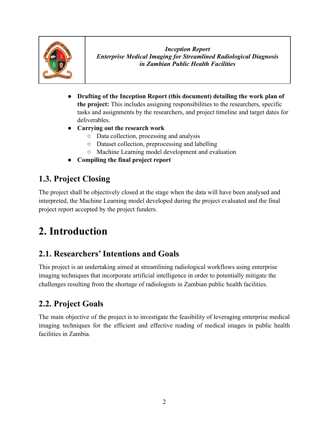

- **Drafting of the Inception Report (this document) detailing the work plan of the project:** This includes assigning responsibilities to the researchers, specific tasks and assignments by the researchers, and project timeline and target dates for deliverables.
- **● Carrying out the research work**
	- Data collection, processing and analysis
	- Dataset collection, preprocessing and labelling
	- Machine Learning model development and evaluation
- **● Compiling the final project report**

#### <span id="page-8-0"></span>**1.3. Project Closing**

The project shall be objectively closed at the stage when the data will have been analysed and interpreted, the Machine Learning model developed during the project evaluated and the final project report accepted by the project funders.

## <span id="page-8-1"></span>**2. Introduction**

### <span id="page-8-2"></span>**2.1. Researchers'Intentions and Goals**

This project is an undertaking aimed at streamlining radiological workflows using enterprise imaging techniques that incorporate artificial intelligence in order to potentially mitigate the challenges resulting from the shortage of radiologists in Zambian public health facilities.

### <span id="page-8-3"></span>**2.2. Project Goals**

The main objective of the project is to investigate the feasibility of leveraging enterprise medical imaging techniques for the efficient and effective reading of medical images in public health facilities in Zambia.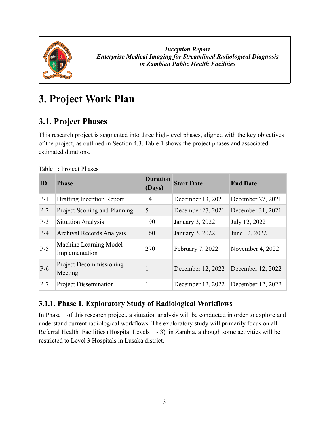

## <span id="page-9-0"></span>**3. Project Work Plan**

### <span id="page-9-1"></span>**3.1. Project Phases**

This research project is segmented into three high-level phases, aligned with the key objectives of the project, as outlined in Section 4.3. Table 1 shows the project phases and associated estimated durations.

| ID    | <b>Phase</b>                              | <b>Duration</b><br>(Days) | <b>Start Date</b> | <b>End Date</b>   |
|-------|-------------------------------------------|---------------------------|-------------------|-------------------|
| $P-1$ | Drafting Inception Report                 | 14                        | December 13, 2021 | December 27, 2021 |
| $P-2$ | Project Scoping and Planning              | 5                         | December 27, 2021 | December 31, 2021 |
| $P-3$ | <b>Situation Analysis</b>                 | 190                       | January 3, 2022   | July 12, 2022     |
| $P-4$ | <b>Archival Records Analysis</b>          | 160                       | January 3, 2022   | June 12, 2022     |
| $P-5$ | Machine Learning Model<br>Implementation  | 270                       | February 7, 2022  | November 4, 2022  |
| $P-6$ | <b>Project Decommissioning</b><br>Meeting | 1                         | December 12, 2022 | December 12, 2022 |
| $P-7$ | <b>Project Dissemination</b>              |                           | December 12, 2022 | December 12, 2022 |

Table 1: Project Phases

#### <span id="page-9-2"></span>**3.1.1. Phase 1. Exploratory Study of Radiological Workflows**

In Phase 1 of this research project, a situation analysis will be conducted in order to explore and understand current radiological workflows. The exploratory study will primarily focus on all Referral Health Facilities (Hospital Levels 1 - 3) in Zambia, although some activities will be restricted to Level 3 Hospitals in Lusaka district.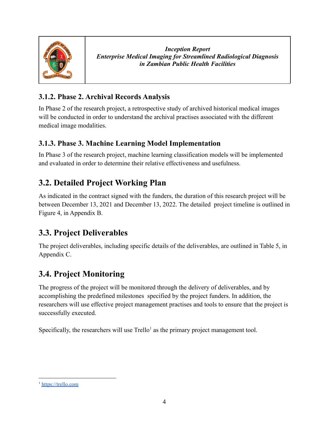

#### <span id="page-10-0"></span>**3.1.2. Phase 2. Archival Records Analysis**

In Phase 2 of the research project, a retrospective study of archived historical medical images will be conducted in order to understand the archival practises associated with the different medical image modalities.

#### <span id="page-10-1"></span>**3.1.3. Phase 3. Machine Learning Model Implementation**

In Phase 3 of the research project, machine learning classification models will be implemented and evaluated in order to determine their relative effectiveness and usefulness.

#### <span id="page-10-2"></span>**3.2. Detailed Project Working Plan**

As indicated in the contract signed with the funders, the duration of this research project will be between December 13, 2021 and December 13, 2022. The detailed project timeline is outlined in Figure 4, in Appendix B.

### <span id="page-10-3"></span>**3.3. Project Deliverables**

The project deliverables, including specific details of the deliverables, are outlined in Table 5, in Appendix C.

### <span id="page-10-4"></span>**3.4. Project Monitoring**

The progress of the project will be monitored through the delivery of deliverables, and by accomplishing the predefined milestones specified by the project funders. In addition, the researchers will use effective project management practises and tools to ensure that the project is successfully executed.

Specifically, the researchers will use  $Trello<sup>1</sup>$  as the primary project management tool.

<sup>&</sup>lt;sup>1</sup> <https://trello.com>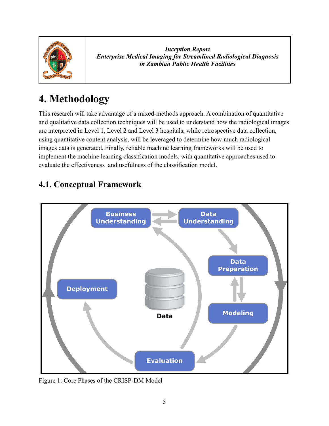

## <span id="page-11-0"></span>**4. Methodology**

This research will take advantage of a mixed-methods approach. A combination of quantitative and qualitative data collection techniques will be used to understand how the radiological images are interpreted in Level 1, Level 2 and Level 3 hospitals, while retrospective data collection, using quantitative content analysis, will be leveraged to determine how much radiological images data is generated. Finally, reliable machine learning frameworks will be used to implement the machine learning classification models, with quantitative approaches used to evaluate the effectiveness and usefulness of the classification model.

### <span id="page-11-1"></span>**4.1. Conceptual Framework**



Figure 1: Core Phases of the CRISP-DM Model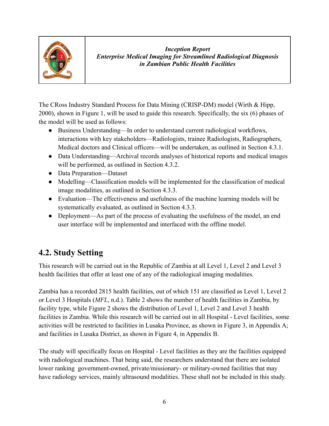

The CRoss Industry Standard Process for Data Mining (CRISP-DM) model [\(Wirth & Hipp,](https://paperpile.com/c/DdzIHH/hpx3) [2000\),](https://paperpile.com/c/DdzIHH/hpx3) shown in Figure 1, will be used to guide this research. Specifically, the six (6) phases of the model will be used as follows:

- Business Understanding—In order to understand current radiological workflows, interactions with key stakeholders—Radiologists, trainee Radiologists, Radiographers, Medical doctors and Clinical officers—will be undertaken, as outlined in Section 4.3.1.
- Data Understanding—Archival records analyses of historical reports and medical images will be performed, as outlined in Section 4.3.2.
- Data Preparation—Dataset
- Modelling—Classification models will be implemented for the classification of medical image modalities, as outlined in Section 4.3.3.
- Evaluation—The effectiveness and usefulness of the machine learning models will be systematically evaluated, as outlined in Section 4.3.3.
- Deployment—As part of the process of evaluating the usefulness of the model, an end user interface will be implemented and interfaced with the offline model.

### <span id="page-12-0"></span>**4.2. Study Setting**

This research will be carried out in the Republic of Zambia at all Level 1, Level 2 and Level 3 health facilities that offer at least one of any of the radiological imaging modalities.

Zambia has a recorded 2815 health facilities, out of which 151 are classified as Level 1, Level 2 or Level 3 Hospitals (*MFL*[, n.d.\).](https://paperpile.com/c/DdzIHH/rde3) Table 2 shows the number of health facilities in Zambia, by facility type, while Figure 2 shows the distribution of Level 1, Level 2 and Level 3 health facilities in Zambia. While this research will be carried out in all Hospital - Level facilities, some activities will be restricted to facilities in Lusaka Province, as shown in Figure 3, in Appendix A; and facilities in Lusaka District, as shown in Figure 4, in Appendix B.

The study will specifically focus on Hospital - Level facilities as they are the facilities equipped with radiological machines. That being said, the researchers understand that there are isolated lower ranking government-owned, private/missionary- or military-owned facilities that may have radiology services, mainly ultrasound modalities. These shall not be included in this study.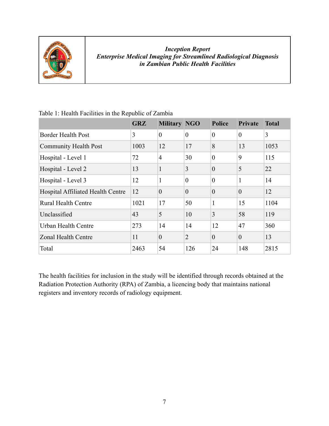

|                                   | <b>GRZ</b> | <b>Military NGO</b> |                | <b>Police</b>    | <b>Private</b> | <b>Total</b> |
|-----------------------------------|------------|---------------------|----------------|------------------|----------------|--------------|
| <b>Border Health Post</b>         | 3          | $\theta$            | $\overline{0}$ | $\theta$         | $\theta$       | 3            |
| <b>Community Health Post</b>      | 1003       | 12                  | 17             | 8                | 13             | 1053         |
| Hospital - Level 1                | 72         | $\overline{4}$      | 30             | $\theta$         | 9              | 115          |
| Hospital - Level 2                | 13         | $\mathbf{1}$        | 3              | $\overline{0}$   | 5              | 22           |
| Hospital - Level 3                | 12         | $\mathbf{1}$        | $\overline{0}$ | $\mathbf{0}$     | $\mathbf{1}$   | 14           |
| Hospital Affiliated Health Centre | 12         | $\overline{0}$      | $\overline{0}$ | $\overline{0}$   | $\theta$       | 12           |
| <b>Rural Health Centre</b>        | 1021       | 17                  | 50             | $\mathbf{1}$     | 15             | 1104         |
| Unclassified                      | 43         | 5                   | 10             | $\overline{3}$   | 58             | 119          |
| Urban Health Centre               | 273        | 14                  | 14             | 12               | 47             | 360          |
| <b>Zonal Health Centre</b>        | 11         | $\boldsymbol{0}$    | $\overline{2}$ | $\boldsymbol{0}$ | $\theta$       | 13           |
| Total                             | 2463       | 54                  | 126            | 24               | 148            | 2815         |

Table 1: Health Facilities in the Republic of Zambia

The health facilities for inclusion in the study will be identified through records obtained at the Radiation Protection Authority (RPA) of Zambia, a licencing body that maintains national registers and inventory records of radiology equipment.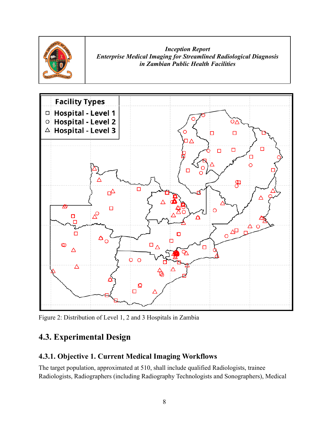



<span id="page-14-0"></span>Figure 2: Distribution of Level 1, 2 and 3 Hospitals in Zambia

### **4.3. Experimental Design**

#### <span id="page-14-1"></span>**4.3.1. Objective 1. Current Medical Imaging Workflows**

The target population, approximated at 510, shall include qualified Radiologists, trainee Radiologists, Radiographers (including Radiography Technologists and Sonographers), Medical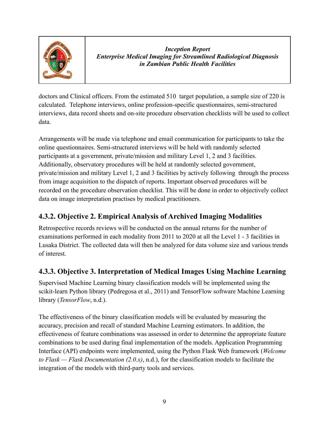

doctors and Clinical officers. From the estimated 510 target population, a sample size of 220 is calculated. Telephone interviews, online profession-specific questionnaires, semi-structured interviews, data record sheets and on-site procedure observation checklists will be used to collect data.

Arrangements will be made via telephone and email communication for participants to take the online questionnaires. Semi-structured interviews will be held with randomly selected participants at a government, private/mission and military Level 1, 2 and 3 facilities. Additionally, observatory procedures will be held at randomly selected government, private/mission and military Level 1, 2 and 3 facilities by actively following through the process from image acquisition to the dispatch of reports. Important observed procedures will be recorded on the procedure observation checklist. This will be done in order to objectively collect data on image interpretation practises by medical practitioners.

#### <span id="page-15-0"></span>**4.3.2. Objective 2. Empirical Analysis of Archived Imaging Modalities**

Retrospective records reviews will be conducted on the annual returns for the number of examinations performed in each modality from 2011 to 2020 at all the Level 1 - 3 facilities in Lusaka District. The collected data will then be analyzed for data volume size and various trends of interest.

#### <span id="page-15-1"></span>**4.3.3. Objective 3. Interpretation of Medical Images Using Machine Learning**

Supervised Machine Learning binary classification models will be implemented using the scikit-learn Python library [\(Pedregosa et al., 2011\)](https://paperpile.com/c/DdzIHH/rROe) and TensorFlow software Machine Learning library (*[TensorFlow](https://paperpile.com/c/DdzIHH/71Gw)*, n.d.).

The effectiveness of the binary classification models will be evaluated by measuring the accuracy, precision and recall of standard Machine Learning estimators. In addition, the effectiveness of feature combinations was assessed in order to determine the appropriate feature combinations to be used during final implementation of the models. Application Programming Interface (API) endpoints were implemented, using the Python Flask Web framework (*[Welcome](https://paperpile.com/c/DdzIHH/d83J) [to Flask — Flask Documentation \(2.0.x\)](https://paperpile.com/c/DdzIHH/d83J)*, n.d.), for the classification models to facilitate the integration of the models with third-party tools and services.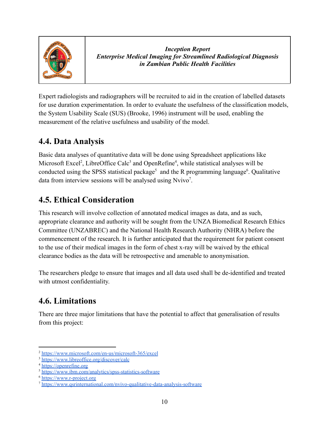

Expert radiologists and radiographers will be recruited to aid in the creation of labelled datasets for use duration experimentation. In order to evaluate the usefulness of the classification models, the System Usability Scale (SUS) [\(Brooke, 1996\)](https://paperpile.com/c/DdzIHH/ULxK) instrument will be used, enabling the measurement of the relative usefulness and usability of the model.

#### <span id="page-16-0"></span>**4.4. Data Analysis**

Basic data analyses of quantitative data will be done using Spreadsheet applications like Microsoft Excel<sup>2</sup>, LibreOffice Calc<sup>3</sup> and OpenRefine<sup>4</sup>, while statistical analyses will be conducted using the SPSS statistical package<sup>5</sup> and the R programming language<sup>6</sup>. Qualitative data from interview sessions will be analysed using Nvivo<sup>7</sup>.

### <span id="page-16-1"></span>**4.5. Ethical Consideration**

This research will involve collection of annotated medical images as data, and as such, appropriate clearance and authority will be sought from the UNZA Biomedical Research Ethics Committee (UNZABREC) and the National Health Research Authority (NHRA) before the commencement of the research. It is further anticipated that the requirement for patient consent to the use of their medical images in the form of chest x-ray will be waived by the ethical clearance bodies as the data will be retrospective and amenable to anonymisation.

The researchers pledge to ensure that images and all data used shall be de-identified and treated with utmost confidentiality.

### <span id="page-16-2"></span>**4.6. Limitations**

There are three major limitations that have the potential to affect that generalisation of results from this project:

<sup>2</sup> <https://www.microsoft.com/en-us/microsoft-365/excel>

<sup>3</sup> <https://www.libreoffice.org/discover/calc>

<sup>4</sup> <https://openrefine.org>

<sup>&</sup>lt;sup>5</sup> <https://www.ibm.com/analytics/spss-statistics-software>

<sup>6</sup> <https://www.r-project.org>

<sup>7</sup> <https://www.qsrinternational.com/nvivo-qualitative-data-analysis-software>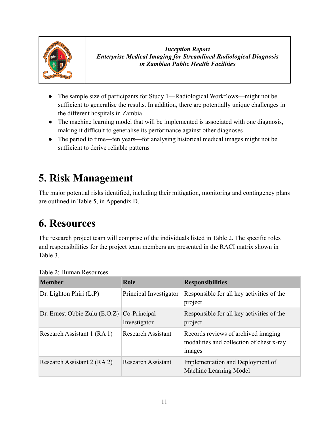

- The sample size of participants for Study 1—Radiological Workflows—might not be sufficient to generalise the results. In addition, there are potentially unique challenges in the different hospitals in Zambia
- The machine learning model that will be implemented is associated with one diagnosis, making it difficult to generalise its performance against other diagnoses
- The period to time—ten years—for analysing historical medical images might not be sufficient to derive reliable patterns

## <span id="page-17-0"></span>**5. Risk Management**

The major potential risks identified, including their mitigation, monitoring and contingency plans are outlined in Table 5, in Appendix D.

## <span id="page-17-1"></span>**6. Resources**

The research project team will comprise of the individuals listed in Table 2. The specific roles and responsibilities for the project team members are presented in the RACI matrix shown in Table 3.

| <b>Member</b>                   | Role                         | <b>Responsibilities</b>                                                                   |
|---------------------------------|------------------------------|-------------------------------------------------------------------------------------------|
| Dr. Lighton Phiri $(L.P)$       | Principal Investigator       | Responsible for all key activities of the<br>project                                      |
| Dr. Ernest Obbie Zulu $(E.O.Z)$ | Co-Principal<br>Investigator | Responsible for all key activities of the<br>project                                      |
| Research Assistant 1 (RA 1)     | <b>Research Assistant</b>    | Records reviews of archived imaging<br>modalities and collection of chest x-ray<br>images |
| Research Assistant 2 (RA 2)     | <b>Research Assistant</b>    | Implementation and Deployment of<br>Machine Learning Model                                |

Table 2: Human Resources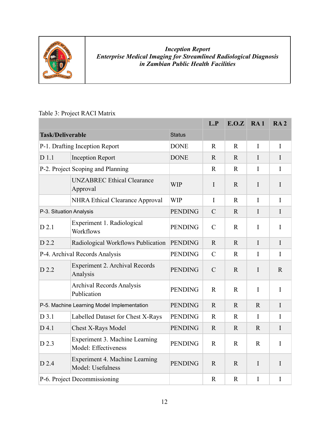

#### Table 3: Project RACI Matrix

|                                |                                                        |                | L.P            | E.O.Z        | RA1          | RA <sub>2</sub> |
|--------------------------------|--------------------------------------------------------|----------------|----------------|--------------|--------------|-----------------|
| <b>Task/Deliverable</b>        |                                                        | <b>Status</b>  |                |              |              |                 |
|                                | P-1. Drafting Inception Report                         | <b>DONE</b>    | $\mathbf{R}$   | $\mathbf{R}$ | $\mathbf{I}$ | $\mathbf I$     |
| $D$ 1.1                        | <b>Inception Report</b>                                | <b>DONE</b>    | $\mathbf R$    | $\mathbf R$  | $\mathbf I$  | $\mathbf{I}$    |
|                                | P-2. Project Scoping and Planning                      |                | $\mathbf R$    | $\mathbf R$  | I            | I               |
|                                | <b>UNZABREC Ethical Clearance</b><br>Approval          | <b>WIP</b>     | $\mathbf I$    | $\mathbf R$  | I            | $\mathbf I$     |
|                                | <b>NHRA Ethical Clearance Approval</b>                 | <b>WIP</b>     | $\mathbf{I}$   | $\mathbf{R}$ | $\mathbf{I}$ | $\mathbf I$     |
| P-3. Situation Analysis        |                                                        | <b>PENDING</b> | $\overline{C}$ | $\mathbf{R}$ | $\mathbf I$  | $\mathbf I$     |
| $D$ 2.1                        | Experiment 1. Radiological<br>Workflows                | <b>PENDING</b> | $\mathcal{C}$  | $\mathbf R$  | $\mathbf I$  | $\mathbf I$     |
| D 2.2                          | Radiological Workflows Publication                     | <b>PENDING</b> | $\mathbf R$    | $\mathbf R$  | $\mathbf{I}$ | $\mathbf I$     |
| P-4. Archival Records Analysis |                                                        | <b>PENDING</b> | $\mathcal{C}$  | $\mathbf{R}$ | $\mathbf I$  | I               |
| D 2.2                          | <b>Experiment 2. Archival Records</b><br>Analysis      | <b>PENDING</b> | $\mathcal{C}$  | $\mathbf R$  | I            | $\mathbf R$     |
|                                | <b>Archival Records Analysis</b><br>Publication        | <b>PENDING</b> | $\mathbf R$    | $\mathbf R$  | $\mathbf I$  | $\mathbf I$     |
|                                | P-5. Machine Learning Model Implementation             | <b>PENDING</b> | $\mathbf R$    | $\mathbf{R}$ | $\mathbf{R}$ | $\mathbf I$     |
| $D$ 3.1                        | Labelled Dataset for Chest X-Rays                      | <b>PENDING</b> | $\mathbf R$    | $\mathbf R$  | $\mathbf I$  | I               |
| D 4.1                          | <b>Chest X-Rays Model</b>                              | <b>PENDING</b> | $\mathbf{R}$   | $\mathbf R$  | $\mathbf R$  | $\mathbf I$     |
| D 2.3                          | Experiment 3. Machine Learning<br>Model: Effectiveness | <b>PENDING</b> | $\mathbf R$    | $\mathbf R$  | $\mathbf{R}$ | $\mathbf I$     |
| D 2.4                          | Experiment 4. Machine Learning<br>Model: Usefulness    | <b>PENDING</b> | $\mathbf R$    | $\mathbf R$  | $\mathbf I$  | $\mathbf I$     |
|                                | P-6. Project Decommissioning                           |                | $\mathbf R$    | $\mathbf R$  | $\mathbf I$  | I               |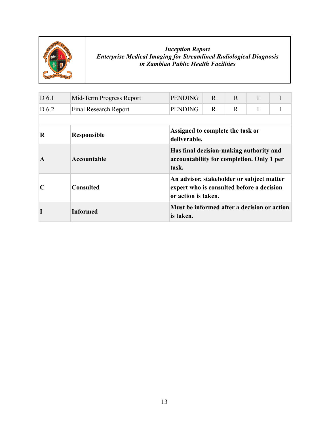

| D 6.1            | Mid-Term Progress Report | <b>PENDING</b>                                           | R                                                                                                             | $\mathbf{R}$ | I |  |  |  |
|------------------|--------------------------|----------------------------------------------------------|---------------------------------------------------------------------------------------------------------------|--------------|---|--|--|--|
| D <sub>6.2</sub> | Final Research Report    | <b>PENDING</b>                                           | $\mathbf R$                                                                                                   | $\mathbf R$  |   |  |  |  |
|                  |                          |                                                          |                                                                                                               |              |   |  |  |  |
| R                | <b>Responsible</b>       | deliverable.                                             | Assigned to complete the task or                                                                              |              |   |  |  |  |
| $\mathbf A$      | Accountable              | task.                                                    | Has final decision-making authority and<br>accountability for completion. Only 1 per                          |              |   |  |  |  |
|                  | <b>Consulted</b>         |                                                          | An advisor, stakeholder or subject matter<br>expert who is consulted before a decision<br>or action is taken. |              |   |  |  |  |
|                  | <b>Informed</b>          | Must be informed after a decision or action<br>is taken. |                                                                                                               |              |   |  |  |  |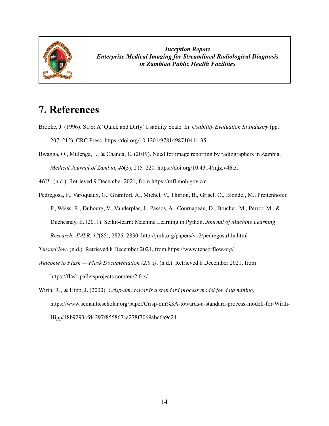

### <span id="page-20-0"></span>**7. References**

- Brooke, J. (1996). SUS: A 'Quick and Dirty' Usability Scale. In *Usability [Evaluation](http://paperpile.com/b/DdzIHH/ULxK) In Industry* (pp. 207–212). CRC Press. [https://doi.org/](http://paperpile.com/b/DdzIHH/ULxK)[10.1201/9781498710411-35](http://dx.doi.org/10.1201/9781498710411-35)
- Bwanga, O., Mulenga, J., & Chanda, E. (2019). Need for image reporting by [radiographers](http://paperpile.com/b/DdzIHH/r7Uk) in Zambia. *Medical Journal of Zambia*, *46*(3), 215–220. [https://doi.org/](http://paperpile.com/b/DdzIHH/r7Uk)[10.4314/mjz.v46i3.](http://dx.doi.org/10.4314/mjz.v46i3.)
- *MFL*. (n.d.). Retrieved 9 [December](http://paperpile.com/b/DdzIHH/rde3) 2021, from <https://mfl.moh.gov.zm>
- Pedregosa, F., Varoquaux, G., Gramfort, A., Michel, V., Thirion, B., Grisel, O., Blondel, M., [Prettenhofer,](http://paperpile.com/b/DdzIHH/rROe) P., Weiss, R., Dubourg, V., Vanderplas, J., Passos, A., [Cournapeau,](http://paperpile.com/b/DdzIHH/rROe) D., Brucher, M., Perrot, M., & Duchesnay, É. (2011). [Scikit-learn:](http://paperpile.com/b/DdzIHH/rROe) Machine Learning in Python. *Journal of Machine Learning Research: JMLR*, *12*(85), [2825–2830.](http://paperpile.com/b/DdzIHH/rROe) <http://jmlr.org/papers/v12/pedregosa11a.html>
- *[TensorFlow](http://paperpile.com/b/DdzIHH/71Gw)*. (n.d.). Retrieved 8 December 2021, from <https://www.tensorflow.org/>
- *Welcome to Flask — Flask [Documentation](http://paperpile.com/b/DdzIHH/d83J) (2.0.x)*. (n.d.). Retrieved 8 December 2021, from <https://flask.palletsprojects.com/en/2.0.x/>
- Wirth, R., & Hipp, J. (2000). *[Crisp-dm:](http://paperpile.com/b/DdzIHH/hpx3) towards a standard process model for data mining*. [https://www.semanticscholar.org/paper/Crisp-dm%3A-towards-a-standard-process-modell-for-Wirth-](https://www.semanticscholar.org/paper/Crisp-dm%3A-towards-a-standard-process-modell-for-Wirth-Hipp/48b9293cfd4297f855867ca278f7069abc6a9c24)[Hipp/48b9293cfd4297f855867ca278f7069abc6a9c24](https://www.semanticscholar.org/paper/Crisp-dm%3A-towards-a-standard-process-modell-for-Wirth-Hipp/48b9293cfd4297f855867ca278f7069abc6a9c24)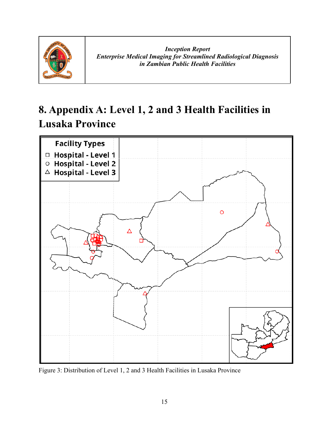

## <span id="page-21-0"></span>**8. Appendix A: Level 1, 2 and 3 Health Facilities in Lusaka Province**



Figure 3: Distribution of Level 1, 2 and 3 Health Facilities in Lusaka Province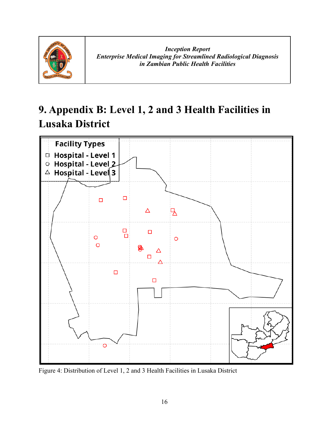

## <span id="page-22-0"></span>**9. Appendix B: Level 1, 2 and 3 Health Facilities in Lusaka District**



Figure 4: Distribution of Level 1, 2 and 3 Health Facilities in Lusaka District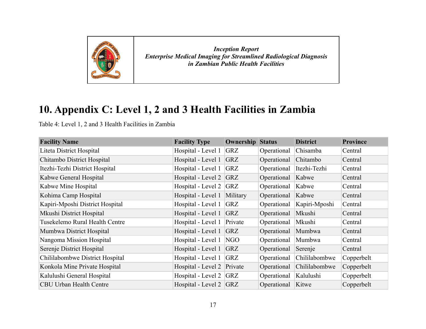

## **10. Appendix C: Level 1, 2 and 3 Health Facilities in Zambia**

Table 4: Level 1, 2 and 3 Health Facilities in Zambia

<span id="page-23-0"></span>

| <b>Facility Name</b>            | <b>Facility Type</b>       | <b>Ownership Status</b> |             | <b>District</b> | <b>Province</b> |
|---------------------------------|----------------------------|-------------------------|-------------|-----------------|-----------------|
| Liteta District Hospital        | Hospital - Level 1         | <b>GRZ</b>              | Operational | Chisamba        | Central         |
| Chitambo District Hospital      | Hospital - Level 1         | <b>GRZ</b>              | Operational | Chitambo        | Central         |
| Itezhi-Tezhi District Hospital  | Hospital - Level 1         | GRZ                     | Operational | Itezhi-Tezhi    | Central         |
| Kabwe General Hospital          | Hospital - Level 2         | <b>GRZ</b>              | Operational | Kabwe           | Central         |
| Kabwe Mine Hospital             | Hospital - Level 2         | G RZ                    | Operational | Kabwe           | Central         |
| Kohima Camp Hospital            | Hospital - Level 1         | Military                | Operational | Kabwe           | Central         |
| Kapiri-Mposhi District Hospital | Hospital - Level 1         | GRZ                     | Operational | Kapiri-Mposhi   | Central         |
| Mkushi District Hospital        | Hospital - Level 1         | <b>GRZ</b>              | Operational | Mkushi          | Central         |
| Tusekelemo Rural Health Centre  | Hospital - Level 1         | Private                 | Operational | Mkushi          | Central         |
| Mumbwa District Hospital        | Hospital - Level 1         | <b>GRZ</b>              | Operational | Mumbwa          | Central         |
| Nangoma Mission Hospital        | Hospital - Level 1         | NGO                     | Operational | Mumbwa          | Central         |
| Serenje District Hospital       | Hospital - Level 1         | <b>GRZ</b>              | Operational | Serenje         | Central         |
| Chililabombwe District Hospital | Hospital - Level 1         | <b>GRZ</b>              | Operational | Chililabombwe   | Copperbelt      |
| Konkola Mine Private Hospital   | Hospital - Level 2 Private |                         | Operational | Chililabombwe   | Copperbelt      |
| Kalulushi General Hospital      | Hospital - Level 2 GRZ     |                         | Operational | Kalulushi       | Copperbelt      |
| <b>CBU Urban Health Centre</b>  | Hospital - Level 2 GRZ     |                         | Operational | Kitwe           | Copperbelt      |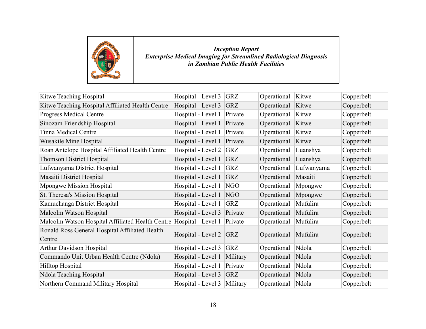

| Kitwe Teaching Hospital                          | Hospital - Level 3         | <b>GRZ</b> | Operational | Kitwe      | Copperbelt |
|--------------------------------------------------|----------------------------|------------|-------------|------------|------------|
| Kitwe Teaching Hospital Affiliated Health Centre | Hospital - Level 3         | <b>GRZ</b> | Operational | Kitwe      | Copperbelt |
| <b>Progress Medical Centre</b>                   | Hospital - Level 1         | Private    | Operational | Kitwe      | Copperbelt |
| Sinozam Friendship Hospital                      | Hospital - Level 1         | Private    | Operational | Kitwe      | Copperbelt |
| <b>Tinna Medical Centre</b>                      | Hospital - Level 1         | Private    | Operational | Kitwe      | Copperbelt |
| <b>Wusakile Mine Hospital</b>                    | Hospital - Level 1         | Private    | Operational | Kitwe      | Copperbelt |
| Roan Antelope Hospital Affiliated Health Centre  | Hospital - Level 2         | <b>GRZ</b> | Operational | Luanshya   | Copperbelt |
| <b>Thomson District Hospital</b>                 | Hospital - Level 1         | <b>GRZ</b> | Operational | Luanshya   | Copperbelt |
| Lufwanyama District Hospital                     | Hospital - Level 1         | <b>GRZ</b> | Operational | Lufwanyama | Copperbelt |
| Masaiti District Hospital                        | Hospital - Level 1         | <b>GRZ</b> | Operational | Masaiti    | Copperbelt |
| <b>Mpongwe Mission Hospital</b>                  | Hospital - Level 1         | NGO        | Operational | Mpongwe    | Copperbelt |
| St. Theresa's Mission Hospital                   | Hospital - Level 1         | NGO        | Operational | Mpongwe    | Copperbelt |
| Kamuchanga District Hospital                     | Hospital - Level 1         | <b>GRZ</b> | Operational | Mufulira   | Copperbelt |
| Malcolm Watson Hospital                          | Hospital - Level 3         | Private    | Operational | Mufulira   | Copperbelt |
| Malcolm Watson Hospital Affiliated Health Centre | Hospital - Level 1         | Private    | Operational | Mufulira   | Copperbelt |
| Ronald Ross General Hospital Affiliated Health   | Hospital - Level 2 $ GRZ $ |            | Operational | Mufulira   |            |
| Centre                                           |                            |            |             |            | Copperbelt |
| <b>Arthur Davidson Hospital</b>                  | Hospital - Level 3         | <b>GRZ</b> | Operational | Ndola      | Copperbelt |
| Commando Unit Urban Health Centre (Ndola)        | Hospital - Level 1         | Military   | Operational | Ndola      | Copperbelt |
| Hilltop Hospital                                 | Hospital - Level 1         | Private    | Operational | Ndola      | Copperbelt |
| Ndola Teaching Hospital                          | Hospital - Level 3         | <b>GRZ</b> | Operational | Ndola      | Copperbelt |
| Northern Command Military Hospital               | Hospital - Level 3         | Military   | Operational | Ndola      | Copperbelt |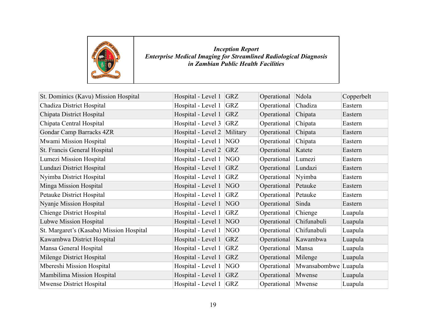

| St. Dominics (Kavu) Mission Hospital     | Hospital - Level 1 | <b>GRZ</b> | Operational | Ndola                | Copperbelt |
|------------------------------------------|--------------------|------------|-------------|----------------------|------------|
| Chadiza District Hospital                | Hospital - Level 1 | <b>GRZ</b> | Operational | Chadiza              | Eastern    |
| Chipata District Hospital                | Hospital - Level 1 | <b>GRZ</b> | Operational | Chipata              | Eastern    |
| Chipata Central Hospital                 | Hospital - Level 3 | <b>GRZ</b> | Operational | Chipata              | Eastern    |
| <b>Gondar Camp Barracks 4ZR</b>          | Hospital - Level 2 | Military   | Operational | Chipata              | Eastern    |
| Mwami Mission Hospital                   | Hospital - Level 1 | NGO        | Operational | Chipata              | Eastern    |
| St. Francis General Hospital             | Hospital - Level 2 | <b>GRZ</b> | Operational | Katete               | Eastern    |
| Lumezi Mission Hospital                  | Hospital - Level 1 | NGO        | Operational | Lumezi               | Eastern    |
| Lundazi District Hospital                | Hospital - Level 1 | <b>GRZ</b> | Operational | Lundazi              | Eastern    |
| Nyimba District Hospital                 | Hospital - Level 1 | <b>GRZ</b> | Operational | Nyimba               | Eastern    |
| Minga Mission Hospital                   | Hospital - Level 1 | NGO        | Operational | Petauke              | Eastern    |
| Petauke District Hospital                | Hospital - Level 1 | <b>GRZ</b> | Operational | Petauke              | Eastern    |
| <b>Nyanje Mission Hospital</b>           | Hospital - Level 1 | NGO        | Operational | Sinda                | Eastern    |
| <b>Chienge District Hospital</b>         | Hospital - Level 1 | <b>GRZ</b> | Operational | Chienge              | Luapula    |
| <b>Lubwe Mission Hospital</b>            | Hospital - Level 1 | <b>NGO</b> | Operational | Chifunabuli          | Luapula    |
| St. Margaret's (Kasaba) Mission Hospital | Hospital - Level 1 | NGO        | Operational | Chifunabuli          | Luapula    |
| Kawambwa District Hospital               | Hospital - Level 1 | <b>GRZ</b> | Operational | Kawambwa             | Luapula    |
| Mansa General Hospital                   | Hospital - Level 1 | <b>GRZ</b> | Operational | Mansa                | Luapula    |
| Milenge District Hospital                | Hospital - Level 1 | <b>GRZ</b> | Operational | Milenge              | Luapula    |
| Mbereshi Mission Hospital                | Hospital - Level 1 | NGO        | Operational | Mwansabombwe Luapula |            |
| Mambilima Mission Hospital               | Hospital - Level 1 | <b>GRZ</b> | Operational | Mwense               | Luapula    |
| Mwense District Hospital                 | Hospital - Level 1 | GRZ        | Operational | Mwense               | Luapula    |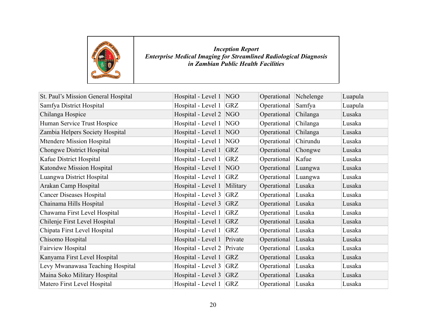

| St. Paul's Mission General Hospital | Hospital - Level 1 | NGO        | Operational | Nchelenge | Luapula |
|-------------------------------------|--------------------|------------|-------------|-----------|---------|
| Samfya District Hospital            | Hospital - Level 1 | <b>GRZ</b> | Operational | Samfya    | Luapula |
| Chilanga Hospice                    | Hospital - Level 2 | NGO        | Operational | Chilanga  | Lusaka  |
| Human Service Trust Hospice         | Hospital - Level 1 | <b>NGO</b> | Operational | Chilanga  | Lusaka  |
| Zambia Helpers Society Hospital     | Hospital - Level 1 | NGO        | Operational | Chilanga  | Lusaka  |
| Mtendere Mission Hospital           | Hospital - Level 1 | NGO        | Operational | Chirundu  | Lusaka  |
| <b>Chongwe District Hospital</b>    | Hospital - Level 1 | <b>GRZ</b> | Operational | Chongwe   | Lusaka  |
| Kafue District Hospital             | Hospital - Level 1 | <b>GRZ</b> | Operational | Kafue     | Lusaka  |
| Katondwe Mission Hospital           | Hospital - Level 1 | NGO        | Operational | Luangwa   | Lusaka  |
| Luangwa District Hospital           | Hospital - Level 1 | <b>GRZ</b> | Operational | Luangwa   | Lusaka  |
| Arakan Camp Hospital                | Hospital - Level 1 | Military   | Operational | Lusaka    | Lusaka  |
| <b>Cancer Diseases Hospital</b>     | Hospital - Level 3 | <b>GRZ</b> | Operational | Lusaka    | Lusaka  |
| Chainama Hills Hospital             | Hospital - Level 3 | GRZ        | Operational | Lusaka    | Lusaka  |
| Chawama First Level Hospital        | Hospital - Level 1 | <b>GRZ</b> | Operational | Lusaka    | Lusaka  |
| Chilenje First Level Hospital       | Hospital - Level 1 | <b>GRZ</b> | Operational | Lusaka    | Lusaka  |
| Chipata First Level Hospital        | Hospital - Level 1 | <b>GRZ</b> | Operational | Lusaka    | Lusaka  |
| Chisomo Hospital                    | Hospital - Level 1 | Private    | Operational | Lusaka    | Lusaka  |
| <b>Fairview Hospital</b>            | Hospital - Level 2 | Private    | Operational | Lusaka    | Lusaka  |
| Kanyama First Level Hospital        | Hospital - Level 1 | <b>GRZ</b> | Operational | Lusaka    | Lusaka  |
| Levy Mwanawasa Teaching Hospital    | Hospital - Level 3 | <b>GRZ</b> | Operational | Lusaka    | Lusaka  |
| Maina Soko Military Hospital        | Hospital - Level 3 | <b>GRZ</b> | Operational | Lusaka    | Lusaka  |
| Matero First Level Hospital         | Hospital - Level 1 | GRZ        | Operational | Lusaka    | Lusaka  |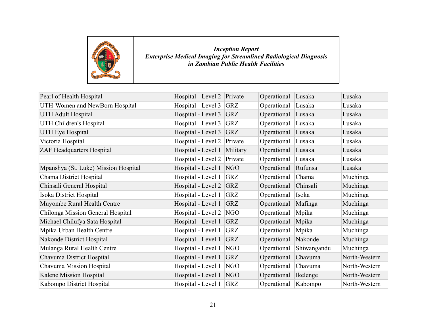

| Pearl of Health Hospital             | Hospital - Level 2 Private |            | Operational | Lusaka      | Lusaka        |
|--------------------------------------|----------------------------|------------|-------------|-------------|---------------|
| UTH-Women and NewBorn Hospital       | Hospital - Level 3         | GRZ        | Operational | Lusaka      | Lusaka        |
| <b>UTH Adult Hospital</b>            | Hospital - Level 3         | <b>GRZ</b> | Operational | Lusaka      | Lusaka        |
| UTH Children's Hospital              | Hospital - Level 3         | <b>GRZ</b> | Operational | Lusaka      | Lusaka        |
| <b>UTH Eye Hospital</b>              | Hospital - Level 3         | <b>GRZ</b> | Operational | Lusaka      | Lusaka        |
| Victoria Hospital                    | Hospital - Level 2         | Private    | Operational | Lusaka      | Lusaka        |
| <b>ZAF Headquarters Hospital</b>     | Hospital - Level 1         | Military   | Operational | Lusaka      | Lusaka        |
|                                      | Hospital - Level 2         | Private    | Operational | Lusaka      | Lusaka        |
| Mpanshya (St. Luke) Mission Hospital | Hospital - Level 1         | NGO        | Operational | Rufunsa     | Lusaka        |
| Chama District Hospital              | Hospital - Level 1         | <b>GRZ</b> | Operational | Chama       | Muchinga      |
| Chinsali General Hospital            | Hospital - Level 2         | <b>GRZ</b> | Operational | Chinsali    | Muchinga      |
| Isoka District Hospital              | Hospital - Level 1         | <b>GRZ</b> | Operational | Isoka       | Muchinga      |
| Muyombe Rural Health Centre          | Hospital - Level 1         | <b>GRZ</b> | Operational | Mafinga     | Muchinga      |
| Chilonga Mission General Hospital    | Hospital - Level 2         | NGO        | Operational | Mpika       | Muchinga      |
| Michael Chilufya Sata Hospital       | Hospital - Level 1         | <b>GRZ</b> | Operational | Mpika       | Muchinga      |
| Mpika Urban Health Centre            | Hospital - Level 1         | <b>GRZ</b> | Operational | Mpika       | Muchinga      |
| Nakonde District Hospital            | Hospital - Level 1         | <b>GRZ</b> | Operational | Nakonde     | Muchinga      |
| Mulanga Rural Health Centre          | Hospital - Level 1         | NGO        | Operational | Shiwangandu | Muchinga      |
| Chavuma District Hospital            | Hospital - Level 1         | <b>GRZ</b> | Operational | Chavuma     | North-Western |
| Chavuma Mission Hospital             | Hospital - Level 1         | NGO        | Operational | Chavuma     | North-Western |
| Kalene Mission Hospital              | Hospital - Level 1         | NGO        | Operational | Ikelenge    | North-Western |
| Kabompo District Hospital            | Hospital - Level 1         | GRZ        | Operational | Kabompo     | North-Western |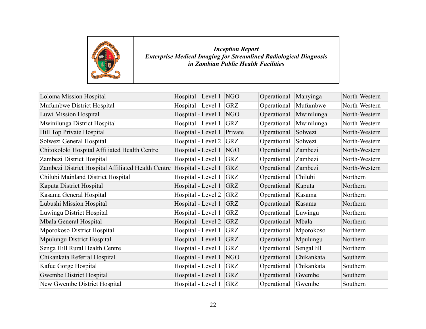

| Loloma Mission Hospital                            | Hospital - Level 1 | NGO        | Operational | Manyinga   | North-Western |
|----------------------------------------------------|--------------------|------------|-------------|------------|---------------|
| Mufumbwe District Hospital                         | Hospital - Level 1 | <b>GRZ</b> | Operational | Mufumbwe   | North-Western |
| Luwi Mission Hospital                              | Hospital - Level 1 | NGO        | Operational | Mwinilunga | North-Western |
| Mwinilunga District Hospital                       | Hospital - Level 1 | <b>GRZ</b> | Operational | Mwinilunga | North-Western |
| Hill Top Private Hospital                          | Hospital - Level 1 | Private    | Operational | Solwezi    | North-Western |
| Solwezi General Hospital                           | Hospital - Level 2 | <b>GRZ</b> | Operational | Solwezi    | North-Western |
| Chitokoloki Hospital Affiliated Health Centre      | Hospital - Level 1 | NGO        | Operational | Zambezi    | North-Western |
| Zambezi District Hospital                          | Hospital - Level 1 | <b>GRZ</b> | Operational | Zambezi    | North-Western |
| Zambezi District Hospital Affiliated Health Centre | Hospital - Level 1 | <b>GRZ</b> | Operational | Zambezi    | North-Western |
| Chilubi Mainland District Hospital                 | Hospital - Level 1 | <b>GRZ</b> | Operational | Chilubi    | Northern      |
| Kaputa District Hospital                           | Hospital - Level 1 | <b>GRZ</b> | Operational | Kaputa     | Northern      |
| Kasama General Hospital                            | Hospital - Level 2 | <b>GRZ</b> | Operational | Kasama     | Northern      |
| Lubushi Mission Hospital                           | Hospital - Level 1 | <b>GRZ</b> | Operational | Kasama     | Northern      |
| Luwingu District Hospital                          | Hospital - Level 1 | <b>GRZ</b> | Operational | Luwingu    | Northern      |
| Mbala General Hospital                             | Hospital - Level 2 | <b>GRZ</b> | Operational | Mbala      | Northern      |
| Mporokoso District Hospital                        | Hospital - Level 1 | <b>GRZ</b> | Operational | Mporokoso  | Northern      |
| Mpulungu District Hospital                         | Hospital - Level 1 | <b>GRZ</b> | Operational | Mpulungu   | Northern      |
| Senga Hill Rural Health Centre                     | Hospital - Level 1 | <b>GRZ</b> | Operational | SengaHill  | Northern      |
| Chikankata Referral Hospital                       | Hospital - Level 1 | NGO        | Operational | Chikankata | Southern      |
| Kafue Gorge Hospital                               | Hospital - Level 1 | <b>GRZ</b> | Operational | Chikankata | Southern      |
| Gwembe District Hospital                           | Hospital - Level 1 | <b>GRZ</b> | Operational | Gwembe     | Southern      |
| New Gwembe District Hospital                       | Hospital - Level 1 | <b>GRZ</b> | Operational | Gwembe     | Southern      |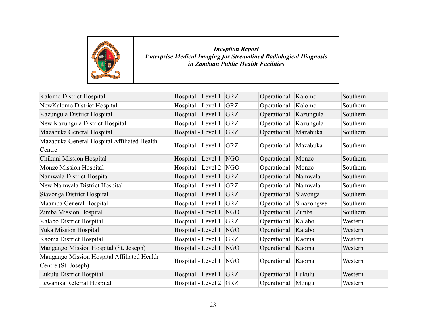

| Kalomo District Hospital                                           | Hospital - Level 1         | <b>GRZ</b> | Operational | Kalomo     | Southern |
|--------------------------------------------------------------------|----------------------------|------------|-------------|------------|----------|
| NewKalomo District Hospital                                        | Hospital - Level 1         | <b>GRZ</b> | Operational | Kalomo     | Southern |
| Kazungula District Hospital                                        | Hospital - Level 1         | <b>GRZ</b> | Operational | Kazungula  | Southern |
| New Kazungula District Hospital                                    | Hospital - Level 1         | <b>GRZ</b> | Operational | Kazungula  | Southern |
| Mazabuka General Hospital                                          | Hospital - Level 1         | <b>GRZ</b> | Operational | Mazabuka   | Southern |
| Mazabuka General Hospital Affiliated Health<br>Centre              | Hospital - Level 1         | <b>GRZ</b> | Operational | Mazabuka   | Southern |
| Chikuni Mission Hospital                                           | Hospital - Level 1         | NGO        | Operational | Monze      | Southern |
| Monze Mission Hospital                                             | Hospital - Level 2         | NGO        | Operational | Monze      | Southern |
| Namwala District Hospital                                          | Hospital - Level 1         | <b>GRZ</b> | Operational | Namwala    | Southern |
| New Namwala District Hospital                                      | Hospital - Level 1         | <b>GRZ</b> | Operational | Namwala    | Southern |
| Siavonga District Hospital                                         | Hospital - Level 1         | <b>GRZ</b> | Operational | Siavonga   | Southern |
| Maamba General Hospital                                            | Hospital - Level 1         | <b>GRZ</b> | Operational | Sinazongwe | Southern |
| Zimba Mission Hospital                                             | Hospital - Level 1         | NGO        | Operational | Zimba      | Southern |
| Kalabo District Hospital                                           | Hospital - Level 1         | <b>GRZ</b> | Operational | Kalabo     | Western  |
| <b>Yuka Mission Hospital</b>                                       | Hospital - Level 1         | NGO        | Operational | Kalabo     | Western  |
| Kaoma District Hospital                                            | Hospital - Level 1         | <b>GRZ</b> | Operational | Kaoma      | Western  |
| Mangango Mission Hospital (St. Joseph)                             | Hospital - Level 1         | NGO        | Operational | Kaoma      | Western  |
| Mangango Mission Hospital Affiliated Health<br>Centre (St. Joseph) | Hospital - Level 1         | NGO        | Operational | Kaoma      | Western  |
| Lukulu District Hospital                                           | Hospital - Level 1         | <b>GRZ</b> | Operational | Lukulu     | Western  |
| Lewanika Referral Hospital                                         | Hospital - Level 2 $ GRZ $ |            | Operational | Mongu      | Western  |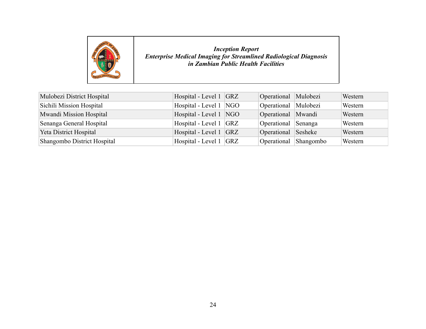

| Mulobezi District Hospital  | Hospital - Level 1 GRZ   | Operational Mulobezi  | Western |
|-----------------------------|--------------------------|-----------------------|---------|
| Sichili Mission Hospital    | Hospital - Level 1   NGO | Operational Mulobezi  | Western |
| Mwandi Mission Hospital     | Hospital - Level 1 NGO   | Operational Mwandi    | Western |
| Senanga General Hospital    | Hospital - Level 1 GRZ   | Operational Senanga   | Western |
| Yeta District Hospital      | Hospital - Level 1 GRZ   | Operational Sesheke   | Western |
| Shangombo District Hospital | Hospital - Level 1 GRZ   | Operational Shangombo | Western |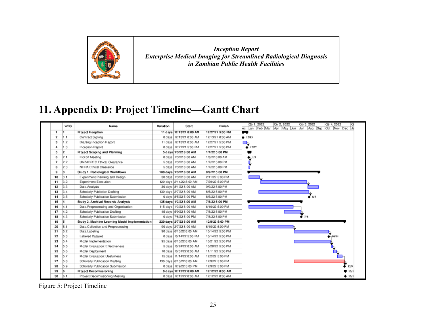

## **11. Appendix D: Project Timeline—Gantt Chart**

<span id="page-31-0"></span>

|                | WBS | Name                                           | Duration | Start                      | Finish           | Otr 1, 2022<br>Otr 2, 2022<br>Otr 4, 2022<br>Otr 3, 2022             |
|----------------|-----|------------------------------------------------|----------|----------------------------|------------------|----------------------------------------------------------------------|
|                |     |                                                |          |                            |                  | Feb Mar<br>Aug Sep<br>Apr May Jun<br>Oct Nov Dec<br>Jul<br>eс<br>Jan |
| 1              |     | Project Inception                              |          | 11 days 12/13/21 8:00 AM   | 12/27/21 5:00 PM |                                                                      |
| $\overline{2}$ | 1.1 | Contract Signing                               |          | 0 days 12/13/21 8:00 AM    | 12/13/21 8:00 AM | 412/13                                                               |
| 3              | .2  | Drafting Inception Report                      |          | 11 days   12/13/21 8:00 AM | 12/27/21 5:00 PM | <u> H</u>                                                            |
| 4              | 1.3 | Inception Report                               |          | 0 days   12/27/21 5:00 PM  | 12/27/21 5:00 PM | 412/27                                                               |
| 5              | 2   | Project Scoping and Planning                   |          | 5 days 1/3/22 8:00 AM      | 1/7/22 5:00 PM   |                                                                      |
| 6              | 2.1 | Kickoff Meeting                                |          | 0 days   1/3/22 8:00 AM    | 1/3/22 8:00 AM   | 1/3                                                                  |
| $\overline{ }$ | 2.2 | UNZABREC Ethical Clearance                     |          | 5 days   1/3/22 8:00 AM    | 1/7/22 5:00 PM   |                                                                      |
| 8              | 2.3 | NHRA Ethical Clearance                         |          | 5 days   1/3/22 8:00 AM    | 1/7/22 5:00 PM   |                                                                      |
| 9              | 3   | Study 1. Radiological Workflows                |          | 180 days 1/3/22 8:00 AM    | 9/9/22 5:00 PM   |                                                                      |
| 10             | 3.1 | Experiment Planning and Design                 |          | 30 days   1/3/22 8:00 AM   | 2/11/22 5:00 PM  |                                                                      |
| 11             | 3.2 | Experiment Execution                           |          | 120 days 2/14/22 8:00 AM   | 7/29/22 5:00 PM  |                                                                      |
| 12             | 3.3 | Data Analysis                                  |          | 30 days 8/1/22 8:00 AM     | 9/9/22 5:00 PM   |                                                                      |
| 13             | 3.4 | Scholarly Publiction Drafting                  |          | 130 days 277/22 8:00 AM    | 8/5/22 5:00 PM   |                                                                      |
| 14             | 3.5 | Scholarly Publication Submission               |          | 0 days 8/5/22 5:00 PM      | 8/5/22 5:00 PM   | $\bullet$ 8/5                                                        |
| 15             |     | Study 2. Archival Records Analysis             |          | 135 days 1/3/22 8:00 AM    | 7/8/22 5:00 PM   |                                                                      |
| 16             | 4.1 | Data Preprocessing and Organisation            |          | 115 days 1/3/22 8:00 AM    | 6/10/22 5:00 PM  |                                                                      |
| 17             | 4.2 | Scholarly Publication Drafting                 |          | 45 days 5/9/22 8:00 AM     | 7/8/22 5:00 PM   |                                                                      |
| 18             | 4.3 | Scholarly Publication Submission               |          | 0 days 7/8/22 5:00 PM      | 7/8/22 5:00 PM   | $\bullet$ 7/8                                                        |
| 19             | 5   | Study 3. Machine Learning Model Implementation |          | 220 days 27/22 8:00 AM     | 12/9/22 5:00 PM  |                                                                      |
| 20             | 5.1 | Data Collection and Preprocessing              |          | 90 days 27/22 8:00 AM      | 6/10/22 5:00 PM  |                                                                      |
| 21             | 5.2 | Data Labeling                                  |          | 90 days 6/13/22 8:00 AM    | 10/14/22 5:00 PM |                                                                      |
| 22             | 5.3 | Labeled Dataset                                |          | 0 days   10/14/22 5:00 PM  | 10/14/22 5:00 PM | $-10/14$                                                             |
| 23             | 5.4 | Model Implementation                           |          | 95 days 6/13/22 8:00 AM    | 10/21/22 5:00 PM |                                                                      |
| 24             | 5.5 | Model Evaluation: Effectiveness                |          | 5 days 10/24/22 8:00 AM    | 10/28/22 5:00 PM |                                                                      |
| 25             | 5.6 | Model Deployment                               |          | 10 days 10/31/22 8:00 AM   | 11/11/22 5:00 PM |                                                                      |
| 26             | 5.7 | Model Evaluation: Usefulness                   |          | 15 days   11/14/22 8:00 AM | 12/2/22 5:00 PM  |                                                                      |
| 27             | 5.8 | Scholarly Publication Drafting                 |          | 130 days 6/13/22 8:00 AM   | 12/9/22 5:00 PM  |                                                                      |
| 28             | 5.9 | Scholarly Publication Submission               |          | 0 days   12/9/22 5:00 PM   | 12/9/22 5:00 PM  | 12/9                                                                 |
| 29             |     | Project Decomissioning                         |          | 0 days 12/12/22 8:00 AM    | 12/12/22 8:00 AM | $\blacksquare$ 12/1                                                  |
| 30             | 6.1 | Project Decomissioning Meeting                 |          | 0 days   12/12/22 8:00 AM  | 12/12/22 8:00 AM | 412/1                                                                |

Figure 5: Project Timeline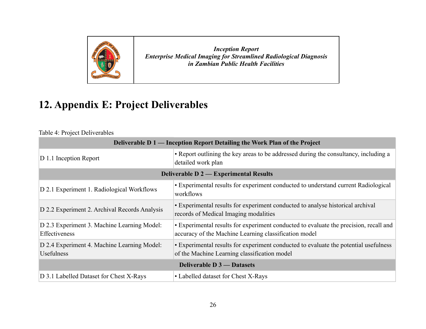

## **12. Appendix E: Project Deliverables**

Table 4: Project Deliverables

<span id="page-32-0"></span>

| Deliverable D 1 — Inception Report Detailing the Work Plan of the Project |                                                                                                                                                |  |  |  |  |  |  |  |
|---------------------------------------------------------------------------|------------------------------------------------------------------------------------------------------------------------------------------------|--|--|--|--|--|--|--|
| $ D 1.1$ Inception Report                                                 | • Report outlining the key areas to be addressed during the consultancy, including a<br>detailed work plan                                     |  |  |  |  |  |  |  |
|                                                                           | <b>Deliverable D 2 — Experimental Results</b>                                                                                                  |  |  |  |  |  |  |  |
| D 2.1 Experiment 1. Radiological Workflows                                | • Experimental results for experiment conducted to understand current Radiological<br>workflows                                                |  |  |  |  |  |  |  |
| D 2.2 Experiment 2. Archival Records Analysis                             | • Experimental results for experiment conducted to analyse historical archival<br>records of Medical Imaging modalities                        |  |  |  |  |  |  |  |
| D 2.3 Experiment 3. Machine Learning Model:<br>Effectiveness              | • Experimental results for experiment conducted to evaluate the precision, recall and<br>accuracy of the Machine Learning classification model |  |  |  |  |  |  |  |
| D 2.4 Experiment 4. Machine Learning Model:<br><b>Usefulness</b>          | • Experimental results for experiment conducted to evaluate the potential usefulness<br>of the Machine Learning classification model           |  |  |  |  |  |  |  |
|                                                                           | <b>Deliverable D 3 — Datasets</b>                                                                                                              |  |  |  |  |  |  |  |
| D 3.1 Labelled Dataset for Chest X-Rays                                   | • Labelled dataset for Chest X-Rays                                                                                                            |  |  |  |  |  |  |  |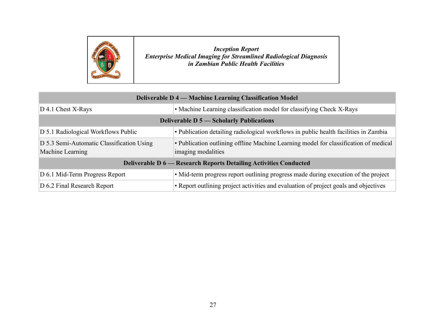

| <b>Deliverable D 4 — Machine Learning Classification Model</b>                                                              |                                                                                                            |  |  |  |  |  |  |  |
|-----------------------------------------------------------------------------------------------------------------------------|------------------------------------------------------------------------------------------------------------|--|--|--|--|--|--|--|
| $D$ 4.1 Chest X-Rays                                                                                                        | • Machine Learning classification model for classifying Check X-Rays                                       |  |  |  |  |  |  |  |
| <b>Deliverable D 5 — Scholarly Publications</b>                                                                             |                                                                                                            |  |  |  |  |  |  |  |
| • Publication detailing radiological workflows in public health facilities in Zambia<br>D 5.1 Radiological Workflows Public |                                                                                                            |  |  |  |  |  |  |  |
| D 5.3 Semi-Automatic Classification Using<br>Machine Learning                                                               | • Publication outlining offline Machine Learning model for classification of medical<br>imaging modalities |  |  |  |  |  |  |  |
|                                                                                                                             | <b>Deliverable D 6 — Research Reports Detailing Activities Conducted</b>                                   |  |  |  |  |  |  |  |
| D 6.1 Mid-Term Progress Report                                                                                              | • Mid-term progress report outlining progress made during execution of the project                         |  |  |  |  |  |  |  |
| D 6.2 Final Research Report                                                                                                 | • Report outlining project activities and evaluation of project goals and objectives                       |  |  |  |  |  |  |  |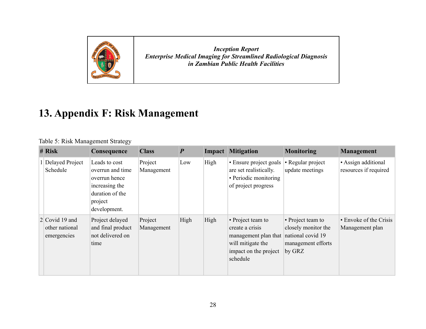

## **13. Appendix F: Risk Management**

#### Table 5: Risk Management Strategy

<span id="page-34-0"></span>

| # Risk                                          | Consequence                                                                                                        | <b>Class</b>          | $\boldsymbol{P}$ |      | <b>Impact Mitigation</b>                                                                                               | <b>Monitoring</b>                                                                             | <b>Management</b>                            |
|-------------------------------------------------|--------------------------------------------------------------------------------------------------------------------|-----------------------|------------------|------|------------------------------------------------------------------------------------------------------------------------|-----------------------------------------------------------------------------------------------|----------------------------------------------|
| <b>Delayed Project</b><br>Schedule              | Leads to cost<br>overrun and time<br>overrun hence<br>increasing the<br>duration of the<br>project<br>development. | Project<br>Management | Low              | High | • Ensure project goals<br>are set realistically.<br>• Periodic monitoring<br>of project progress                       | • Regular project<br>update meetings                                                          | • Assign additional<br>resources if required |
| 2 Covid 19 and<br>other national<br>emergencies | Project delayed<br>and final product<br>not delivered on<br>time                                                   | Project<br>Management | High             | High | • Project team to<br>create a crisis<br>management plan that<br>will mitigate the<br>impact on the project<br>schedule | • Project team to<br>closely monitor the<br>national covid 19<br>management efforts<br>by GRZ | • Envoke of the Crisis<br>Management plan    |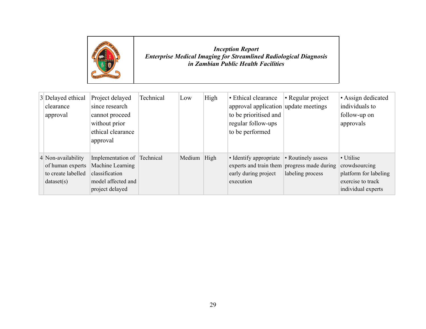

| 3 Delayed ethical<br>clearance<br>approval                                 | Project delayed<br>since research<br>cannot proceed<br>without prior<br>ethical clearance<br>approval      | Technical | Low    | High | • Ethical clearance<br>approval application update meetings<br>to be prioritised and<br>regular follow-ups<br>to be performed | • Regular project                      | • Assign dedicated<br>individuals to<br>follow-up on<br>approvals                              |
|----------------------------------------------------------------------------|------------------------------------------------------------------------------------------------------------|-----------|--------|------|-------------------------------------------------------------------------------------------------------------------------------|----------------------------------------|------------------------------------------------------------------------------------------------|
| 4 Non-availability<br>of human experts<br>to create labelled<br>dataset(s) | Implementation of Technical<br>Machine Learning<br>classification<br>model affected and<br>project delayed |           | Medium | High | • Identify appropriate<br>experts and train them progress made during<br>early during project<br>execution                    | • Routinely assess<br>labeling process | • Utilise<br>crowdsourcing<br>platform for labeling<br>exercise to track<br>individual experts |